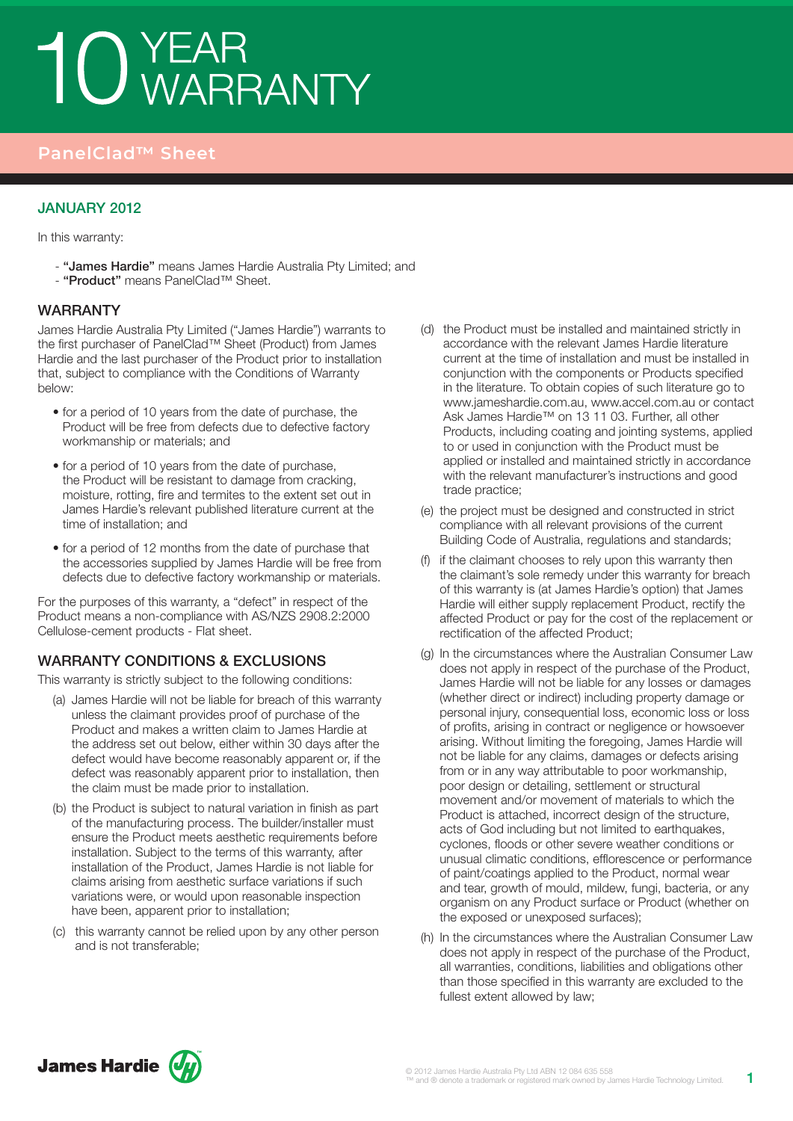# 10 YEAR<br>10 WARRANTY

# **PanelClad™ Sheet**

### January 2012

In this warranty:

- "James Hardie" means James Hardie Australia Pty Limited; and - "Product" means PanelClad™ Sheet.

#### WARRANTY

James Hardie Australia Pty Limited ("James Hardie") warrants to the first purchaser of PanelClad™ Sheet (Product) from James Hardie and the last purchaser of the Product prior to installation that, subject to compliance with the Conditions of Warranty below:

- for a period of 10 years from the date of purchase, the Product will be free from defects due to defective factory workmanship or materials; and
- for a period of 10 years from the date of purchase, the Product will be resistant to damage from cracking, moisture, rotting, fire and termites to the extent set out in James Hardie's relevant published literature current at the time of installation; and
- for a period of 12 months from the date of purchase that the accessories supplied by James Hardie will be free from defects due to defective factory workmanship or materials.

For the purposes of this warranty, a "defect" in respect of the Product means a non-compliance with AS/NZS 2908.2:2000 Cellulose-cement products - Flat sheet.

### WARRANTY CONDITIONS & EXCLUSIONS

This warranty is strictly subject to the following conditions:

- (a) James Hardie will not be liable for breach of this warranty unless the claimant provides proof of purchase of the Product and makes a written claim to James Hardie at the address set out below, either within 30 days after the defect would have become reasonably apparent or, if the defect was reasonably apparent prior to installation, then the claim must be made prior to installation.
- (b) the Product is subject to natural variation in finish as part of the manufacturing process. The builder/installer must ensure the Product meets aesthetic requirements before installation. Subject to the terms of this warranty, after installation of the Product, James Hardie is not liable for claims arising from aesthetic surface variations if such variations were, or would upon reasonable inspection have been, apparent prior to installation;
- (c) this warranty cannot be relied upon by any other person and is not transferable;
- (d) the Product must be installed and maintained strictly in accordance with the relevant James Hardie literature current at the time of installation and must be installed in conjunction with the components or Products specified in the literature. To obtain copies of such literature go to www.jameshardie.com.au, www.accel.com.au or contact Ask James Hardie™ on 13 11 03. Further, all other Products, including coating and jointing systems, applied to or used in conjunction with the Product must be applied or installed and maintained strictly in accordance with the relevant manufacturer's instructions and good trade practice;
- (e) the project must be designed and constructed in strict compliance with all relevant provisions of the current Building Code of Australia, regulations and standards;
- (f) if the claimant chooses to rely upon this warranty then the claimant's sole remedy under this warranty for breach of this warranty is (at James Hardie's option) that James Hardie will either supply replacement Product, rectify the affected Product or pay for the cost of the replacement or rectification of the affected Product;
- (g) In the circumstances where the Australian Consumer Law does not apply in respect of the purchase of the Product, James Hardie will not be liable for any losses or damages (whether direct or indirect) including property damage or personal injury, consequential loss, economic loss or loss of profits, arising in contract or negligence or howsoever arising. Without limiting the foregoing, James Hardie will not be liable for any claims, damages or defects arising from or in any way attributable to poor workmanship, poor design or detailing, settlement or structural movement and/or movement of materials to which the Product is attached, incorrect design of the structure, acts of God including but not limited to earthquakes, cyclones, floods or other severe weather conditions or unusual climatic conditions, efflorescence or performance of paint/coatings applied to the Product, normal wear and tear, growth of mould, mildew, fungi, bacteria, or any organism on any Product surface or Product (whether on the exposed or unexposed surfaces);
- (h) In the circumstances where the Australian Consumer Law does not apply in respect of the purchase of the Product, all warranties, conditions, liabilities and obligations other than those specified in this warranty are excluded to the fullest extent allowed by law;